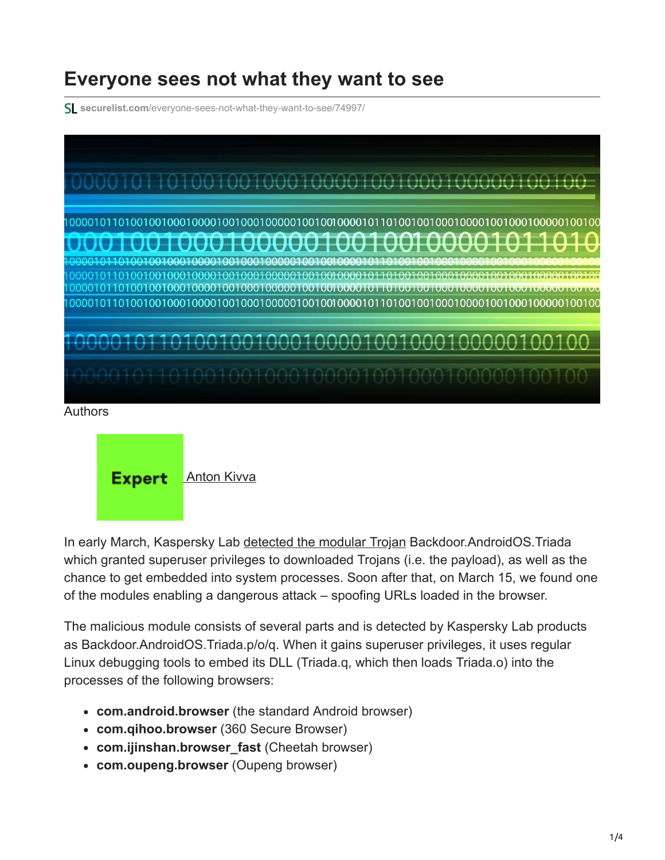## **Everyone sees not what they want to see**

**securelist.com**[/everyone-sees-not-what-they-want-to-see/74997/](https://securelist.com/everyone-sees-not-what-they-want-to-see/74997/)



## Authors

**Expert [Anton Kivva](https://securelist.com/author/antonkivva/)** 

In early March, Kaspersky Lab [detected the modular Trojan](https://securelist.com/attack-on-zygote-a-new-twist-in-the-evolution-of-mobile-threats/74032/) Backdoor.AndroidOS.Triada which granted superuser privileges to downloaded Trojans (i.e. the payload), as well as the chance to get embedded into system processes. Soon after that, on March 15, we found one of the modules enabling a dangerous attack – spoofing URLs loaded in the browser.

The malicious module consists of several parts and is detected by Kaspersky Lab products as Backdoor.AndroidOS.Triada.p/o/q. When it gains superuser privileges, it uses regular Linux debugging tools to embed its DLL (Triada.q, which then loads Triada.o) into the processes of the following browsers:

- **com.android.browser** (the standard Android browser)
- **com.qihoo.browser** (360 Secure Browser)
- **com.ijinshan.browser\_fast** (Cheetah browser)
- **com.oupeng.browser** (Oupeng browser)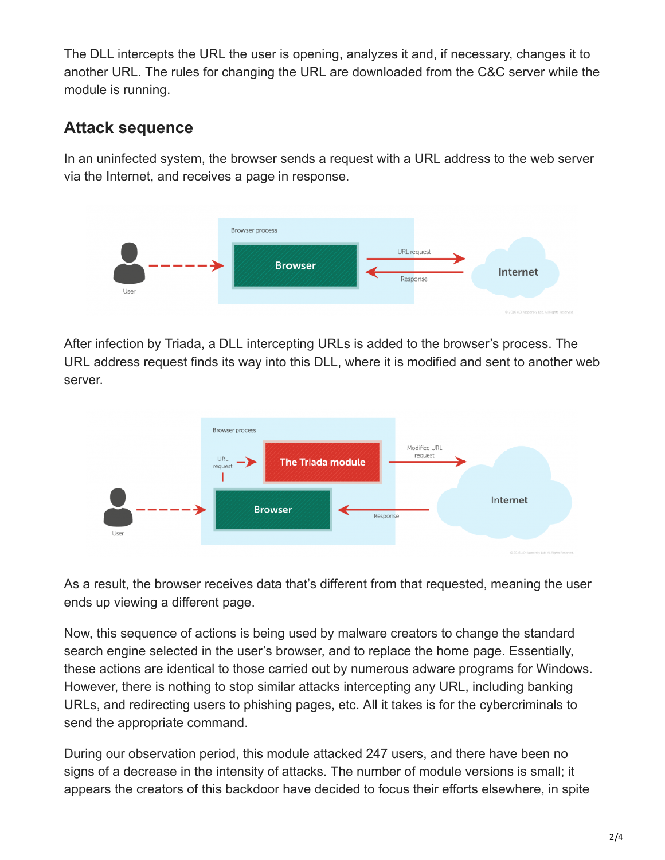The DLL intercepts the URL the user is opening, analyzes it and, if necessary, changes it to another URL. The rules for changing the URL are downloaded from the C&C server while the module is running.

## **Attack sequence**

In an uninfected system, the browser sends a request with a URL address to the web server via the Internet, and receives a page in response.



After infection by Triada, a DLL intercepting URLs is added to the browser's process. The URL address request finds its way into this DLL, where it is modified and sent to another web server.



As a result, the browser receives data that's different from that requested, meaning the user ends up viewing a different page.

Now, this sequence of actions is being used by malware creators to change the standard search engine selected in the user's browser, and to replace the home page. Essentially, these actions are identical to those carried out by numerous adware programs for Windows. However, there is nothing to stop similar attacks intercepting any URL, including banking URLs, and redirecting users to phishing pages, etc. All it takes is for the cybercriminals to send the appropriate command.

During our observation period, this module attacked 247 users, and there have been no signs of a decrease in the intensity of attacks. The number of module versions is small; it appears the creators of this backdoor have decided to focus their efforts elsewhere, in spite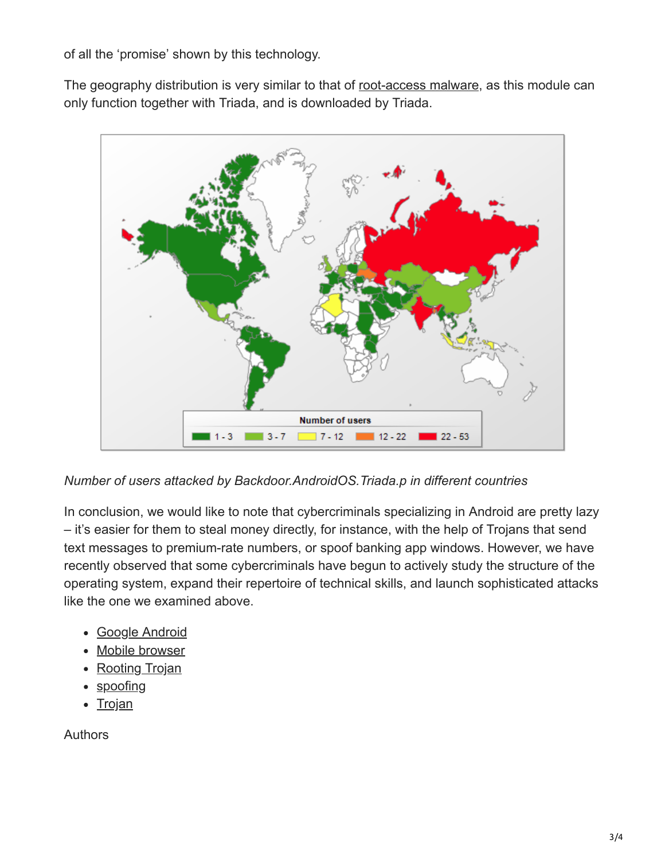of all the 'promise' shown by this technology.

The geography distribution is very similar to that of [root-access malware](https://securelist.com/blog/mobile/71981/taking-root/), as this module can only function together with Triada, and is downloaded by Triada.



*Number of users attacked by Backdoor.AndroidOS.Triada.p in different countries*

In conclusion, we would like to note that cybercriminals specializing in Android are pretty lazy – it's easier for them to steal money directly, for instance, with the help of Trojans that send text messages to premium-rate numbers, or spoof banking app windows. However, we have recently observed that some cybercriminals have begun to actively study the structure of the operating system, expand their repertoire of technical skills, and launch sophisticated attacks like the one we examined above.

- [Google Android](https://securelist.com/tag/google-android/)
- [Mobile browser](https://securelist.com/tag/mobile-browser/)
- [Rooting Trojan](https://securelist.com/tag/rooting-trojan/)
- [spoofing](https://securelist.com/tag/spoofing/)
- [Trojan](https://securelist.com/tag/trojan/)

Authors